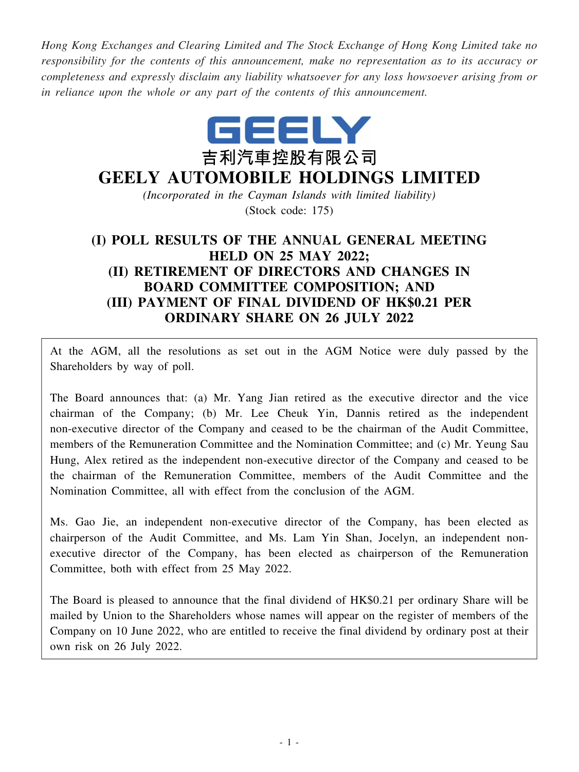*Hong Kong Exchanges and Clearing Limited and The Stock Exchange of Hong Kong Limited take no responsibility for the contents of this announcement, make no representation as to its accuracy or completeness and expressly disclaim any liability whatsoever for any loss howsoever arising from or in reliance upon the whole or any part of the contents of this announcement.*



# **GEELY AUTOMOBILE HOLDINGS LIMITED**

*(Incorporated in the Cayman Islands with limited liability)* (Stock code: 175)

## **(I) POLL RESULTS OF THE ANNUAL GENERAL MEETING HELD ON 25 MAY 2022; (II) RETIREMENT OF DIRECTORS AND CHANGES IN BOARD COMMITTEE COMPOSITION; AND (III) PAYMENT OF FINAL DIVIDEND OF HK\$0.21 PER ORDINARY SHARE ON 26 JULY 2022**

At the AGM, all the resolutions as set out in the AGM Notice were duly passed by the Shareholders by way of poll.

The Board announces that: (a) Mr. Yang Jian retired as the executive director and the vice chairman of the Company; (b) Mr. Lee Cheuk Yin, Dannis retired as the independent non-executive director of the Company and ceased to be the chairman of the Audit Committee, members of the Remuneration Committee and the Nomination Committee; and (c) Mr. Yeung Sau Hung, Alex retired as the independent non-executive director of the Company and ceased to be the chairman of the Remuneration Committee, members of the Audit Committee and the Nomination Committee, all with effect from the conclusion of the AGM.

Ms. Gao Jie, an independent non-executive director of the Company, has been elected as chairperson of the Audit Committee, and Ms. Lam Yin Shan, Jocelyn, an independent nonexecutive director of the Company, has been elected as chairperson of the Remuneration Committee, both with effect from 25 May 2022.

The Board is pleased to announce that the final dividend of HK\$0.21 per ordinary Share will be mailed by Union to the Shareholders whose names will appear on the register of members of the Company on 10 June 2022, who are entitled to receive the final dividend by ordinary post at their own risk on 26 July 2022.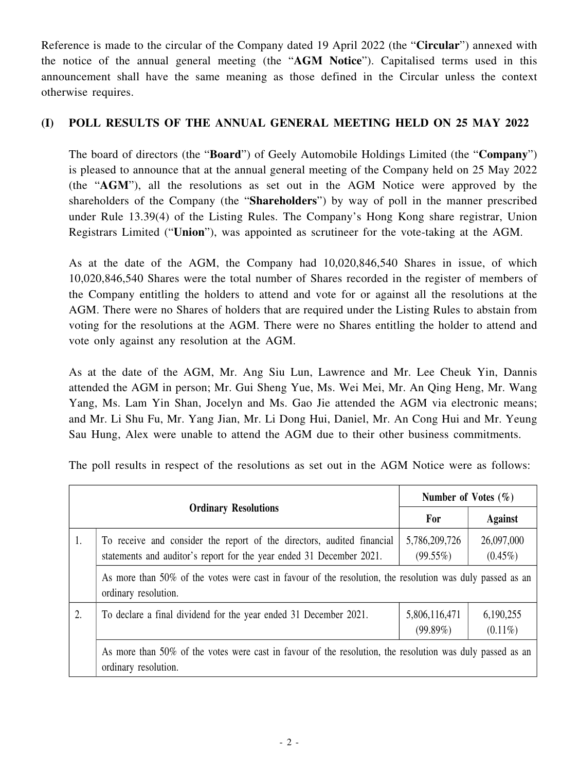Reference is made to the circular of the Company dated 19 April 2022 (the "**Circular**") annexed with the notice of the annual general meeting (the "**AGM Notice**"). Capitalised terms used in this announcement shall have the same meaning as those defined in the Circular unless the context otherwise requires.

#### **(I) POLL RESULTS OF THE ANNUAL GENERAL MEETING HELD ON 25 MAY 2022**

The board of directors (the "**Board**") of Geely Automobile Holdings Limited (the "**Company**") is pleased to announce that at the annual general meeting of the Company held on 25 May 2022 (the "**AGM**"), all the resolutions as set out in the AGM Notice were approved by the shareholders of the Company (the "**Shareholders**") by way of poll in the manner prescribed under Rule 13.39(4) of the Listing Rules. The Company's Hong Kong share registrar, Union Registrars Limited ("**Union**"), was appointed as scrutineer for the vote-taking at the AGM.

As at the date of the AGM, the Company had 10,020,846,540 Shares in issue, of which 10,020,846,540 Shares were the total number of Shares recorded in the register of members of the Company entitling the holders to attend and vote for or against all the resolutions at the AGM. There were no Shares of holders that are required under the Listing Rules to abstain from voting for the resolutions at the AGM. There were no Shares entitling the holder to attend and vote only against any resolution at the AGM.

As at the date of the AGM, Mr. Ang Siu Lun, Lawrence and Mr. Lee Cheuk Yin, Dannis attended the AGM in person; Mr. Gui Sheng Yue, Ms. Wei Mei, Mr. An Qing Heng, Mr. Wang Yang, Ms. Lam Yin Shan, Jocelyn and Ms. Gao Jie attended the AGM via electronic means; and Mr. Li Shu Fu, Mr. Yang Jian, Mr. Li Dong Hui, Daniel, Mr. An Cong Hui and Mr. Yeung Sau Hung, Alex were unable to attend the AGM due to their other business commitments.

The poll results in respect of the resolutions as set out in the AGM Notice were as follows:

|                             |                                                                                                                                                |                              | Number of Votes $(\% )$  |  |
|-----------------------------|------------------------------------------------------------------------------------------------------------------------------------------------|------------------------------|--------------------------|--|
| <b>Ordinary Resolutions</b> |                                                                                                                                                | For                          | <b>Against</b>           |  |
| 1.                          | To receive and consider the report of the directors, audited financial<br>statements and auditor's report for the year ended 31 December 2021. | 5,786,209,726<br>$(99.55\%)$ | 26,097,000<br>$(0.45\%)$ |  |
|                             | As more than 50% of the votes were cast in favour of the resolution, the resolution was duly passed as an                                      |                              |                          |  |
| 2.                          | To declare a final dividend for the year ended 31 December 2021.                                                                               | 5,806,116,471<br>(99.89%)    | 6,190,255<br>$(0.11\%)$  |  |
|                             | As more than 50% of the votes were cast in favour of the resolution, the resolution was duly passed as an<br>ordinary resolution.              |                              |                          |  |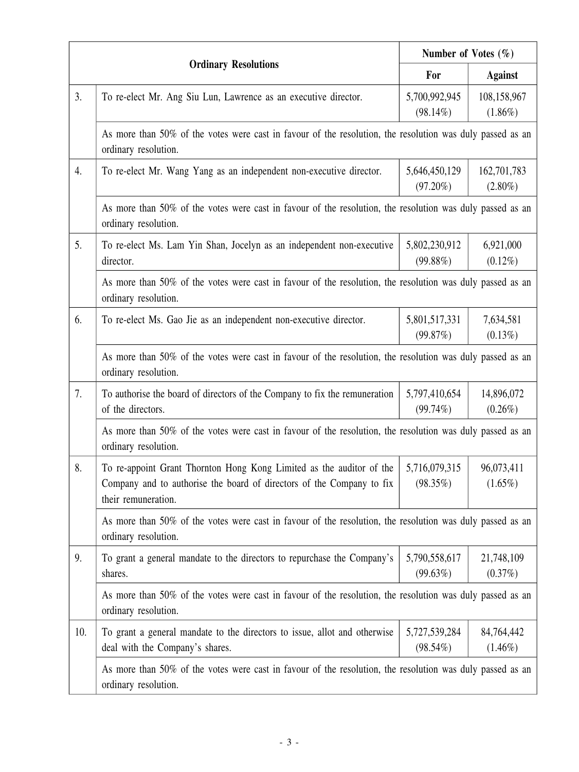|     |                                                                                                                                                                      | Number of Votes $(\% )$      |                           |  |  |
|-----|----------------------------------------------------------------------------------------------------------------------------------------------------------------------|------------------------------|---------------------------|--|--|
|     | <b>Ordinary Resolutions</b>                                                                                                                                          |                              | <b>Against</b>            |  |  |
| 3.  | To re-elect Mr. Ang Siu Lun, Lawrence as an executive director.                                                                                                      | 5,700,992,945<br>$(98.14\%)$ | 108,158,967<br>$(1.86\%)$ |  |  |
|     | As more than 50% of the votes were cast in favour of the resolution, the resolution was duly passed as an<br>ordinary resolution.                                    |                              |                           |  |  |
| 4.  | To re-elect Mr. Wang Yang as an independent non-executive director.                                                                                                  | 5,646,450,129<br>$(97.20\%)$ | 162,701,783<br>$(2.80\%)$ |  |  |
|     | As more than 50% of the votes were cast in favour of the resolution, the resolution was duly passed as an<br>ordinary resolution.                                    |                              |                           |  |  |
| 5.  | To re-elect Ms. Lam Yin Shan, Jocelyn as an independent non-executive<br>director.                                                                                   | 5,802,230,912<br>$(99.88\%)$ | 6,921,000<br>$(0.12\%)$   |  |  |
|     | As more than 50% of the votes were cast in favour of the resolution, the resolution was duly passed as an<br>ordinary resolution.                                    |                              |                           |  |  |
| 6.  | To re-elect Ms. Gao Jie as an independent non-executive director.                                                                                                    | 5,801,517,331<br>(99.87%)    | 7,634,581<br>$(0.13\%)$   |  |  |
|     | As more than 50% of the votes were cast in favour of the resolution, the resolution was duly passed as an<br>ordinary resolution.                                    |                              |                           |  |  |
| 7.  | To authorise the board of directors of the Company to fix the remuneration<br>of the directors.                                                                      | 5,797,410,654<br>$(99.74\%)$ | 14,896,072<br>$(0.26\%)$  |  |  |
|     | As more than 50% of the votes were cast in favour of the resolution, the resolution was duly passed as an<br>ordinary resolution.                                    |                              |                           |  |  |
| 8.  | To re-appoint Grant Thornton Hong Kong Limited as the auditor of the<br>Company and to authorise the board of directors of the Company to fix<br>their remuneration. | 5,716,079,315<br>$(98.35\%)$ | 96,073,411<br>$(1.65\%)$  |  |  |
|     | As more than 50% of the votes were cast in favour of the resolution, the resolution was duly passed as an<br>ordinary resolution.                                    |                              |                           |  |  |
| 9.  | To grant a general mandate to the directors to repurchase the Company's<br>shares.                                                                                   | 5,790,558,617<br>(99.63%)    | 21,748,109<br>(0.37%)     |  |  |
|     | As more than 50% of the votes were cast in favour of the resolution, the resolution was duly passed as an<br>ordinary resolution.                                    |                              |                           |  |  |
| 10. | To grant a general mandate to the directors to issue, allot and otherwise<br>deal with the Company's shares.                                                         | 5,727,539,284<br>$(98.54\%)$ | 84,764,442<br>$(1.46\%)$  |  |  |
|     | As more than 50% of the votes were cast in favour of the resolution, the resolution was duly passed as an<br>ordinary resolution.                                    |                              |                           |  |  |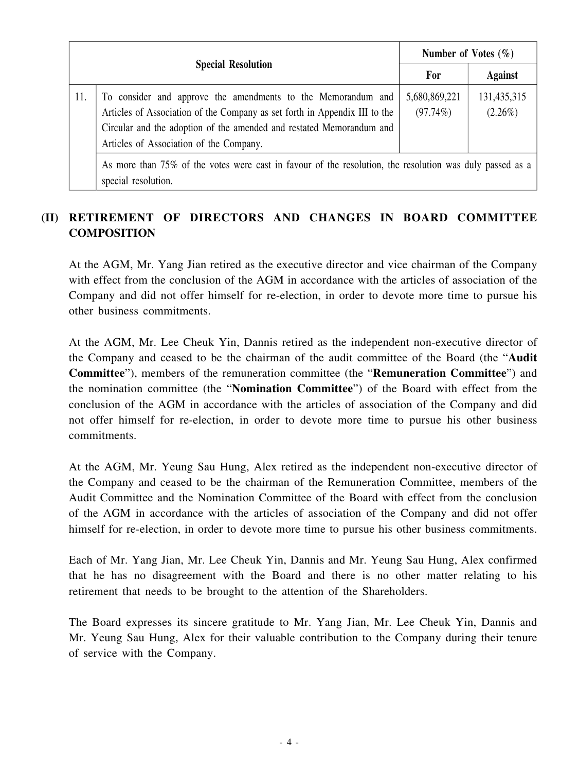|                           |                                                                                                                                                                                                                                                                                                                                                                           |                           | Number of Votes $(\% )$   |  |
|---------------------------|---------------------------------------------------------------------------------------------------------------------------------------------------------------------------------------------------------------------------------------------------------------------------------------------------------------------------------------------------------------------------|---------------------------|---------------------------|--|
| <b>Special Resolution</b> |                                                                                                                                                                                                                                                                                                                                                                           | For                       | <b>Against</b>            |  |
| 11.                       | To consider and approve the amendments to the Memorandum and<br>Articles of Association of the Company as set forth in Appendix III to the<br>Circular and the adoption of the amended and restated Memorandum and<br>Articles of Association of the Company.<br>As more than 750, of the votes were east in favour of the resolution the resolution was duly nessed as a | 5,680,869,221<br>(97.74%) | 131,435,315<br>$(2.26\%)$ |  |

As more than 75% of the votes were cast in favour of the resolution, the resolution was duly passed as a special resolution.

### **(II) RETIREMENT OF DIRECTORS AND CHANGES IN BOARD COMMITTEE COMPOSITION**

At the AGM, Mr. Yang Jian retired as the executive director and vice chairman of the Company with effect from the conclusion of the AGM in accordance with the articles of association of the Company and did not offer himself for re-election, in order to devote more time to pursue his other business commitments.

At the AGM, Mr. Lee Cheuk Yin, Dannis retired as the independent non-executive director of the Company and ceased to be the chairman of the audit committee of the Board (the "**Audit Committee**"), members of the remuneration committee (the "**Remuneration Committee**") and the nomination committee (the "**Nomination Committee**") of the Board with effect from the conclusion of the AGM in accordance with the articles of association of the Company and did not offer himself for re-election, in order to devote more time to pursue his other business commitments.

At the AGM, Mr. Yeung Sau Hung, Alex retired as the independent non-executive director of the Company and ceased to be the chairman of the Remuneration Committee, members of the Audit Committee and the Nomination Committee of the Board with effect from the conclusion of the AGM in accordance with the articles of association of the Company and did not offer himself for re-election, in order to devote more time to pursue his other business commitments.

Each of Mr. Yang Jian, Mr. Lee Cheuk Yin, Dannis and Mr. Yeung Sau Hung, Alex confirmed that he has no disagreement with the Board and there is no other matter relating to his retirement that needs to be brought to the attention of the Shareholders.

The Board expresses its sincere gratitude to Mr. Yang Jian, Mr. Lee Cheuk Yin, Dannis and Mr. Yeung Sau Hung, Alex for their valuable contribution to the Company during their tenure of service with the Company.